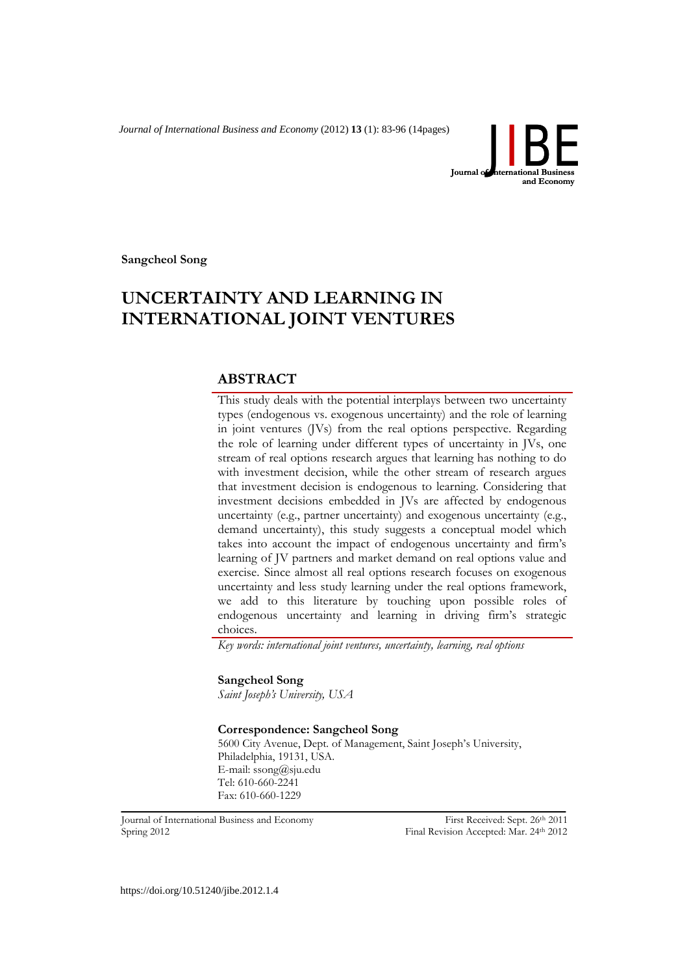*Journal of International Business and Economy* (2012) **13** (1): 83-96 (14pages)



**Sangcheol Song**

# **UNCERTAINTY AND LEARNING IN INTERNATIONAL JOINT VENTURES**

# **ABSTRACT**

This study deals with the potential interplays between two uncertainty types (endogenous vs. exogenous uncertainty) and the role of learning in joint ventures (JVs) from the real options perspective. Regarding the role of learning under different types of uncertainty in JVs, one stream of real options research argues that learning has nothing to do with investment decision, while the other stream of research argues that investment decision is endogenous to learning. Considering that investment decisions embedded in JVs are affected by endogenous uncertainty (e.g., partner uncertainty) and exogenous uncertainty (e.g., demand uncertainty), this study suggests a conceptual model which takes into account the impact of endogenous uncertainty and firm's learning of JV partners and market demand on real options value and exercise. Since almost all real options research focuses on exogenous uncertainty and less study learning under the real options framework, we add to this literature by touching upon possible roles of endogenous uncertainty and learning in driving firm's strategic choices.

*Key words: international joint ventures, uncertainty, learning, real options*

## **Sangcheol Song**

*Saint Joseph's University, USA*

#### **Correspondence: Sangcheol Song**

5600 City Avenue, Dept. of Management, Saint Joseph's University, Philadelphia, 19131, USA. E-mail: ssong@sju.edu Tel: 610-660-2241 Fax: 610-660-1229

Spring 2012 **Final Revision Accepted: Mar. 24th 2012** 

Journal of International Business and Economy First Received: Sept. 26th 2011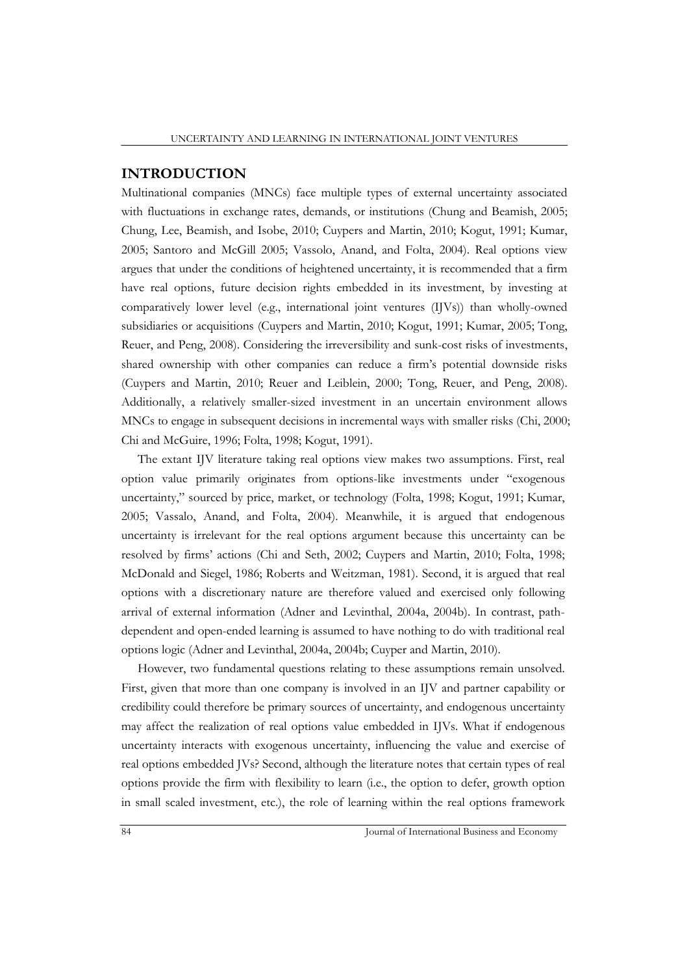## **INTRODUCTION**

Multinational companies (MNCs) face multiple types of external uncertainty associated with fluctuations in exchange rates, demands, or institutions (Chung and Beamish, 2005; Chung, Lee, Beamish, and Isobe, 2010; Cuypers and Martin, 2010; Kogut, 1991; Kumar, 2005; Santoro and McGill 2005; Vassolo, Anand, and Folta, 2004). Real options view argues that under the conditions of heightened uncertainty, it is recommended that a firm have real options, future decision rights embedded in its investment, by investing at comparatively lower level (e.g., international joint ventures (IJVs)) than wholly-owned subsidiaries or acquisitions (Cuypers and Martin, 2010; Kogut, 1991; Kumar, 2005; Tong, Reuer, and Peng, 2008). Considering the irreversibility and sunk-cost risks of investments, shared ownership with other companies can reduce a firm's potential downside risks (Cuypers and Martin, 2010; Reuer and Leiblein, 2000; Tong, Reuer, and Peng, 2008). Additionally, a relatively smaller-sized investment in an uncertain environment allows MNCs to engage in subsequent decisions in incremental ways with smaller risks (Chi, 2000; Chi and McGuire, 1996; Folta, 1998; Kogut, 1991).

The extant IJV literature taking real options view makes two assumptions. First, real option value primarily originates from options-like investments under "exogenous uncertainty," sourced by price, market, or technology (Folta, 1998; Kogut, 1991; Kumar, 2005; Vassalo, Anand, and Folta, 2004). Meanwhile, it is argued that endogenous uncertainty is irrelevant for the real options argument because this uncertainty can be resolved by firms' actions (Chi and Seth, 2002; Cuypers and Martin, 2010; Folta, 1998; McDonald and Siegel, 1986; Roberts and Weitzman, 1981). Second, it is argued that real options with a discretionary nature are therefore valued and exercised only following arrival of external information (Adner and Levinthal, 2004a, 2004b). In contrast, pathdependent and open-ended learning is assumed to have nothing to do with traditional real options logic (Adner and Levinthal, 2004a, 2004b; Cuyper and Martin, 2010).

However, two fundamental questions relating to these assumptions remain unsolved. First, given that more than one company is involved in an IJV and partner capability or credibility could therefore be primary sources of uncertainty, and endogenous uncertainty may affect the realization of real options value embedded in IJVs. What if endogenous uncertainty interacts with exogenous uncertainty, influencing the value and exercise of real options embedded JVs? Second, although the literature notes that certain types of real options provide the firm with flexibility to learn (i.e., the option to defer, growth option in small scaled investment, etc.), the role of learning within the real options framework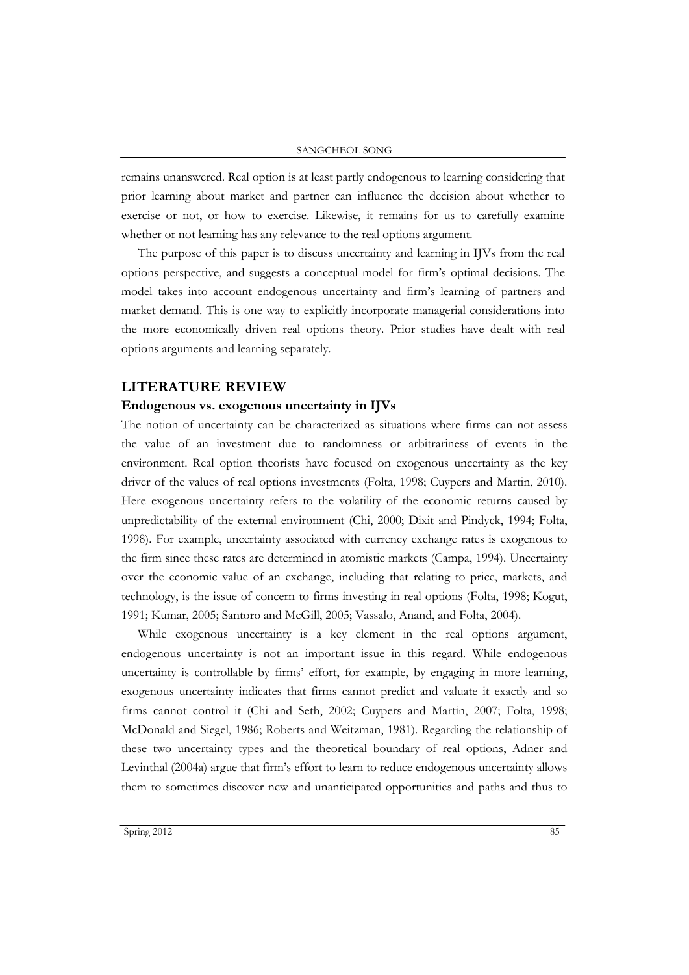remains unanswered. Real option is at least partly endogenous to learning considering that prior learning about market and partner can influence the decision about whether to exercise or not, or how to exercise. Likewise, it remains for us to carefully examine whether or not learning has any relevance to the real options argument.

The purpose of this paper is to discuss uncertainty and learning in IJVs from the real options perspective, and suggests a conceptual model for firm's optimal decisions. The model takes into account endogenous uncertainty and firm's learning of partners and market demand. This is one way to explicitly incorporate managerial considerations into the more economically driven real options theory. Prior studies have dealt with real options arguments and learning separately.

## **LITERATURE REVIEW**

#### **Endogenous vs. exogenous uncertainty in IJVs**

The notion of uncertainty can be characterized as situations where firms can not assess the value of an investment due to randomness or arbitrariness of events in the environment. Real option theorists have focused on exogenous uncertainty as the key driver of the values of real options investments (Folta, 1998; Cuypers and Martin, 2010). Here exogenous uncertainty refers to the volatility of the economic returns caused by unpredictability of the external environment (Chi, 2000; Dixit and Pindyck, 1994; Folta, 1998). For example, uncertainty associated with currency exchange rates is exogenous to the firm since these rates are determined in atomistic markets (Campa, 1994). Uncertainty over the economic value of an exchange, including that relating to price, markets, and technology, is the issue of concern to firms investing in real options (Folta, 1998; Kogut, 1991; Kumar, 2005; Santoro and McGill, 2005; Vassalo, Anand, and Folta, 2004).

While exogenous uncertainty is a key element in the real options argument, endogenous uncertainty is not an important issue in this regard. While endogenous uncertainty is controllable by firms' effort, for example, by engaging in more learning, exogenous uncertainty indicates that firms cannot predict and valuate it exactly and so firms cannot control it (Chi and Seth, 2002; Cuypers and Martin, 2007; Folta, 1998; McDonald and Siegel, 1986; Roberts and Weitzman, 1981). Regarding the relationship of these two uncertainty types and the theoretical boundary of real options, Adner and Levinthal (2004a) argue that firm's effort to learn to reduce endogenous uncertainty allows them to sometimes discover new and unanticipated opportunities and paths and thus to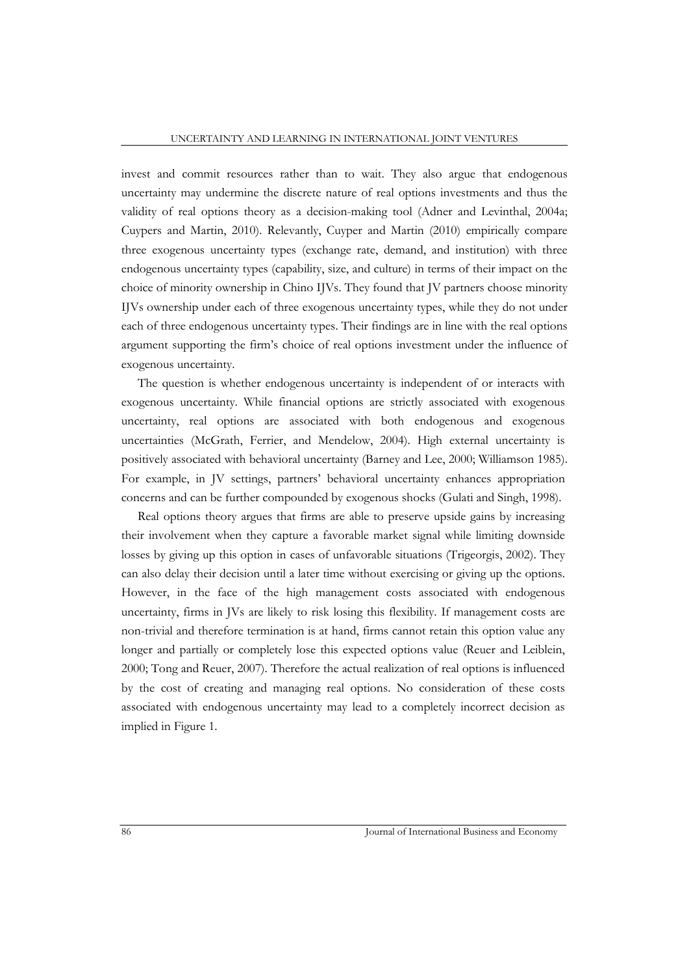invest and commit resources rather than to wait. They also argue that endogenous uncertainty may undermine the discrete nature of real options investments and thus the validity of real options theory as a decision-making tool (Adner and Levinthal, 2004a; Cuypers and Martin, 2010). Relevantly, Cuyper and Martin (2010) empirically compare three exogenous uncertainty types (exchange rate, demand, and institution) with three endogenous uncertainty types (capability, size, and culture) in terms of their impact on the choice of minority ownership in Chino IJVs. They found that JV partners choose minority IJVs ownership under each of three exogenous uncertainty types, while they do not under each of three endogenous uncertainty types. Their findings are in line with the real options argument supporting the firm's choice of real options investment under the influence of exogenous uncertainty.

The question is whether endogenous uncertainty is independent of or interacts with exogenous uncertainty. While financial options are strictly associated with exogenous uncertainty, real options are associated with both endogenous and exogenous uncertainties (McGrath, Ferrier, and Mendelow, 2004). High external uncertainty is positively associated with behavioral uncertainty (Barney and Lee, 2000; Williamson 1985). For example, in JV settings, partners' behavioral uncertainty enhances appropriation concerns and can be further compounded by exogenous shocks (Gulati and Singh, 1998).

Real options theory argues that firms are able to preserve upside gains by increasing their involvement when they capture a favorable market signal while limiting downside losses by giving up this option in cases of unfavorable situations (Trigeorgis, 2002). They can also delay their decision until a later time without exercising or giving up the options. However, in the face of the high management costs associated with endogenous uncertainty, firms in JVs are likely to risk losing this flexibility. If management costs are non-trivial and therefore termination is at hand, firms cannot retain this option value any longer and partially or completely lose this expected options value (Reuer and Leiblein, 2000; Tong and Reuer, 2007). Therefore the actual realization of real options is influenced by the cost of creating and managing real options. No consideration of these costs associated with endogenous uncertainty may lead to a completely incorrect decision as implied in Figure 1.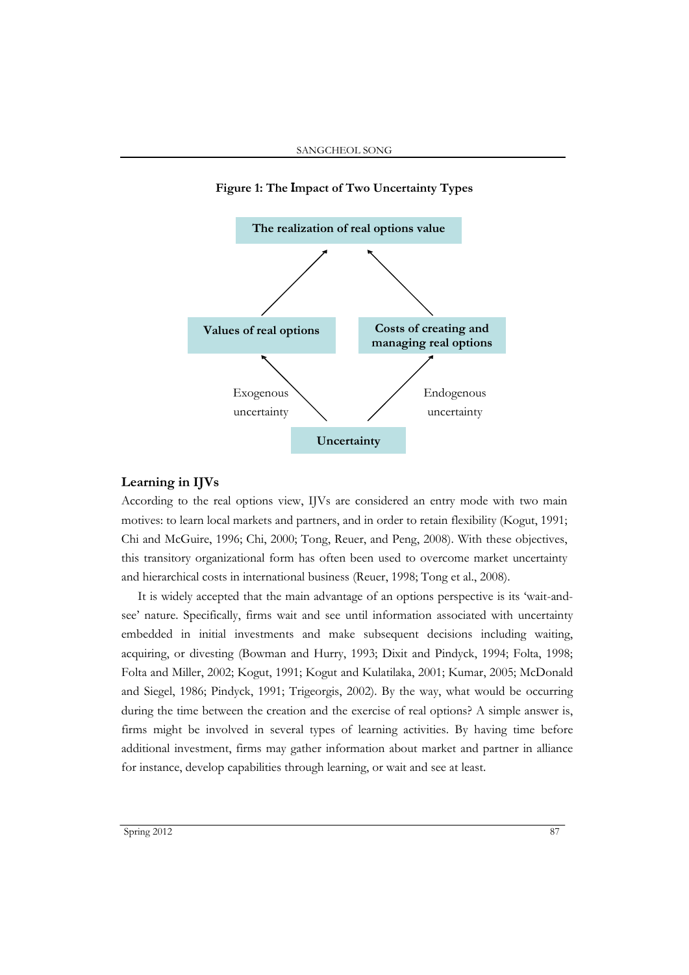

#### **Figure 1: The Impact of Two Uncertainty Types**

## **Learning in IJVs**

According to the real options view, IJVs are considered an entry mode with two main motives: to learn local markets and partners, and in order to retain flexibility (Kogut, 1991; Chi and McGuire, 1996; Chi, 2000; Tong, Reuer, and Peng, 2008). With these objectives, this transitory organizational form has often been used to overcome market uncertainty and hierarchical costs in international business (Reuer, 1998; Tong et al., 2008).

It is widely accepted that the main advantage of an options perspective is its 'wait-andsee' nature. Specifically, firms wait and see until information associated with uncertainty embedded in initial investments and make subsequent decisions including waiting, acquiring, or divesting (Bowman and Hurry, 1993; Dixit and Pindyck, 1994; Folta, 1998; Folta and Miller, 2002; Kogut, 1991; Kogut and Kulatilaka, 2001; Kumar, 2005; McDonald and Siegel, 1986; Pindyck, 1991; Trigeorgis, 2002). By the way, what would be occurring during the time between the creation and the exercise of real options? A simple answer is, firms might be involved in several types of learning activities. By having time before additional investment, firms may gather information about market and partner in alliance for instance, develop capabilities through learning, or wait and see at least.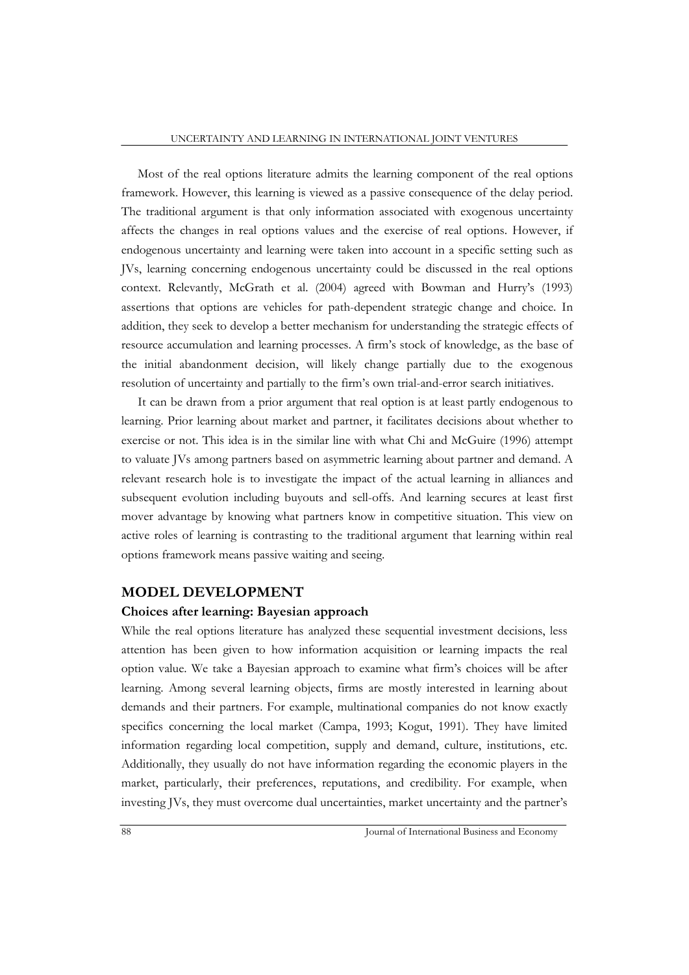Most of the real options literature admits the learning component of the real options framework. However, this learning is viewed as a passive consequence of the delay period. The traditional argument is that only information associated with exogenous uncertainty affects the changes in real options values and the exercise of real options. However, if endogenous uncertainty and learning were taken into account in a specific setting such as JVs, learning concerning endogenous uncertainty could be discussed in the real options context. Relevantly, McGrath et al. (2004) agreed with Bowman and Hurry's (1993) assertions that options are vehicles for path-dependent strategic change and choice. In addition, they seek to develop a better mechanism for understanding the strategic effects of resource accumulation and learning processes. A firm's stock of knowledge, as the base of the initial abandonment decision, will likely change partially due to the exogenous resolution of uncertainty and partially to the firm's own trial-and-error search initiatives.

It can be drawn from a prior argument that real option is at least partly endogenous to learning. Prior learning about market and partner, it facilitates decisions about whether to exercise or not. This idea is in the similar line with what Chi and McGuire (1996) attempt to valuate JVs among partners based on asymmetric learning about partner and demand. A relevant research hole is to investigate the impact of the actual learning in alliances and subsequent evolution including buyouts and sell-offs. And learning secures at least first mover advantage by knowing what partners know in competitive situation. This view on active roles of learning is contrasting to the traditional argument that learning within real options framework means passive waiting and seeing.

#### **MODEL DEVELOPMENT**

#### **Choices after learning: Bayesian approach**

While the real options literature has analyzed these sequential investment decisions, less attention has been given to how information acquisition or learning impacts the real option value. We take a Bayesian approach to examine what firm's choices will be after learning. Among several learning objects, firms are mostly interested in learning about demands and their partners. For example, multinational companies do not know exactly specifics concerning the local market (Campa, 1993; Kogut, 1991). They have limited information regarding local competition, supply and demand, culture, institutions, etc. Additionally, they usually do not have information regarding the economic players in the market, particularly, their preferences, reputations, and credibility. For example, when investing JVs, they must overcome dual uncertainties, market uncertainty and the partner's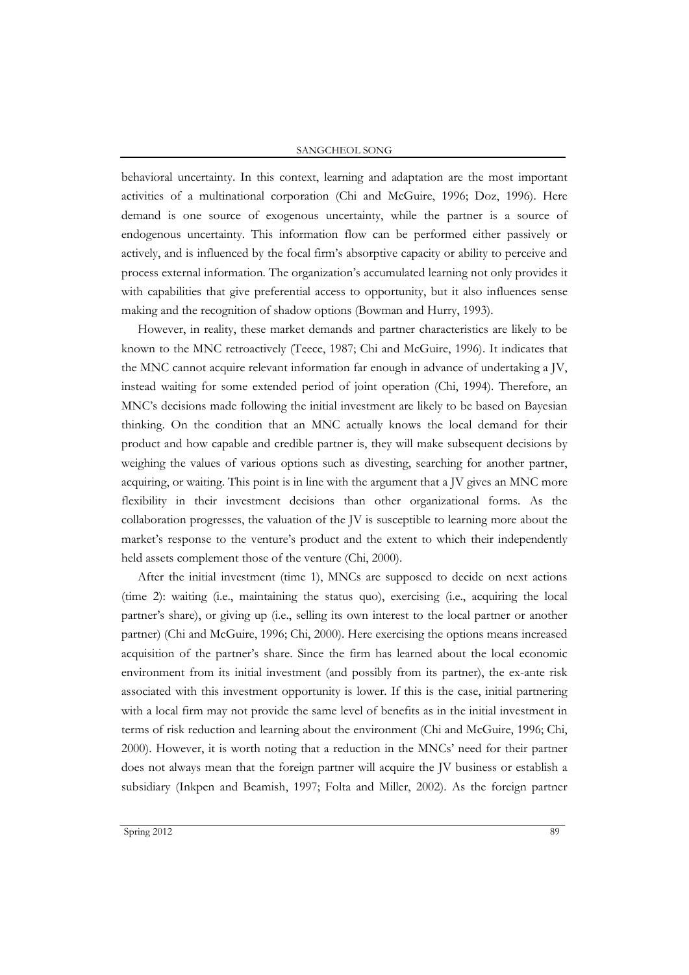#### SANGCHEOL SONG

behavioral uncertainty. In this context, learning and adaptation are the most important activities of a multinational corporation (Chi and McGuire, 1996; Doz, 1996). Here demand is one source of exogenous uncertainty, while the partner is a source of endogenous uncertainty. This information flow can be performed either passively or actively, and is influenced by the focal firm's absorptive capacity or ability to perceive and process external information. The organization's accumulated learning not only provides it with capabilities that give preferential access to opportunity, but it also influences sense making and the recognition of shadow options (Bowman and Hurry, 1993).

However, in reality, these market demands and partner characteristics are likely to be known to the MNC retroactively (Teece, 1987; Chi and McGuire, 1996). It indicates that the MNC cannot acquire relevant information far enough in advance of undertaking a JV, instead waiting for some extended period of joint operation (Chi, 1994). Therefore, an MNC's decisions made following the initial investment are likely to be based on Bayesian thinking. On the condition that an MNC actually knows the local demand for their product and how capable and credible partner is, they will make subsequent decisions by weighing the values of various options such as divesting, searching for another partner, acquiring, or waiting. This point is in line with the argument that a JV gives an MNC more flexibility in their investment decisions than other organizational forms. As the collaboration progresses, the valuation of the JV is susceptible to learning more about the market's response to the venture's product and the extent to which their independently held assets complement those of the venture (Chi, 2000).

After the initial investment (time 1), MNCs are supposed to decide on next actions (time 2): waiting (i.e., maintaining the status quo), exercising (i.e., acquiring the local partner's share), or giving up (i.e., selling its own interest to the local partner or another partner) (Chi and McGuire, 1996; Chi, 2000). Here exercising the options means increased acquisition of the partner's share. Since the firm has learned about the local economic environment from its initial investment (and possibly from its partner), the ex-ante risk associated with this investment opportunity is lower. If this is the case, initial partnering with a local firm may not provide the same level of benefits as in the initial investment in terms of risk reduction and learning about the environment (Chi and McGuire, 1996; Chi, 2000). However, it is worth noting that a reduction in the MNCs' need for their partner does not always mean that the foreign partner will acquire the JV business or establish a subsidiary (Inkpen and Beamish, 1997; Folta and Miller, 2002). As the foreign partner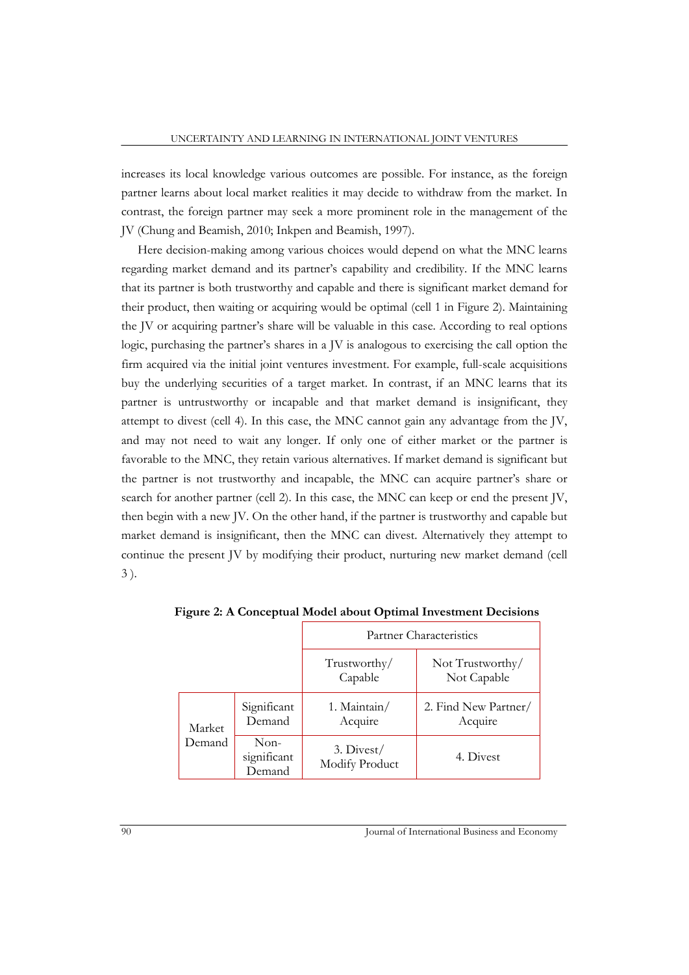increases its local knowledge various outcomes are possible. For instance, as the foreign partner learns about local market realities it may decide to withdraw from the market. In contrast, the foreign partner may seek a more prominent role in the management of the JV (Chung and Beamish, 2010; Inkpen and Beamish, 1997).

Here decision-making among various choices would depend on what the MNC learns regarding market demand and its partner's capability and credibility. If the MNC learns that its partner is both trustworthy and capable and there is significant market demand for their product, then waiting or acquiring would be optimal (cell 1 in Figure 2). Maintaining the JV or acquiring partner's share will be valuable in this case. According to real options logic, purchasing the partner's shares in a JV is analogous to exercising the call option the firm acquired via the initial joint ventures investment. For example, full-scale acquisitions buy the underlying securities of a target market. In contrast, if an MNC learns that its partner is untrustworthy or incapable and that market demand is insignificant, they attempt to divest (cell 4). In this case, the MNC cannot gain any advantage from the JV, and may not need to wait any longer. If only one of either market or the partner is favorable to the MNC, they retain various alternatives. If market demand is significant but the partner is not trustworthy and incapable, the MNC can acquire partner's share or search for another partner (cell 2). In this case, the MNC can keep or end the present JV, then begin with a new JV. On the other hand, if the partner is trustworthy and capable but market demand is insignificant, then the MNC can divest. Alternatively they attempt to continue the present JV by modifying their product, nurturing new market demand (cell 3 ).

|                  |                                 | Partner Characteristics        |                                 |
|------------------|---------------------------------|--------------------------------|---------------------------------|
|                  |                                 | Trustworthy/<br>Capable        | Not Trustworthy/<br>Not Capable |
| Market<br>Demand | Significant<br>Demand           | 1. Maintain/<br>Acquire        | 2. Find New Partner/<br>Acquire |
|                  | $Non-$<br>significant<br>Demand | $3.$ Divest/<br>Modify Product | 4. Divest                       |

**Figure 2: A Conceptual Model about Optimal Investment Decisions**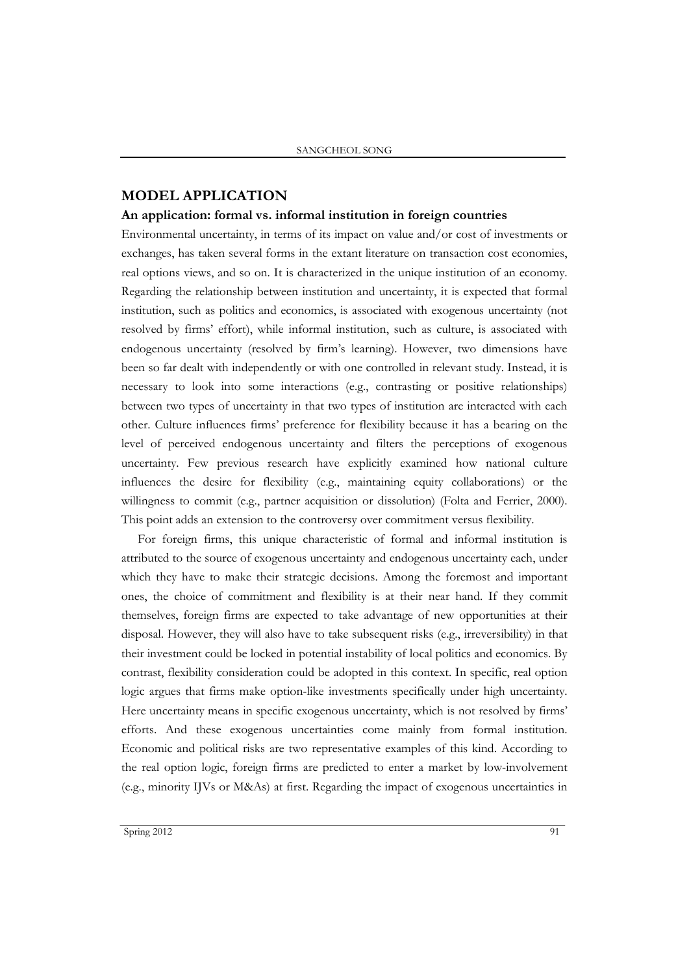# **MODEL APPLICATION**

#### **An application: formal vs. informal institution in foreign countries**

Environmental uncertainty, in terms of its impact on value and/or cost of investments or exchanges, has taken several forms in the extant literature on transaction cost economies, real options views, and so on. It is characterized in the unique institution of an economy. Regarding the relationship between institution and uncertainty, it is expected that formal institution, such as politics and economics, is associated with exogenous uncertainty (not resolved by firms' effort), while informal institution, such as culture, is associated with endogenous uncertainty (resolved by firm's learning). However, two dimensions have been so far dealt with independently or with one controlled in relevant study. Instead, it is necessary to look into some interactions (e.g., contrasting or positive relationships) between two types of uncertainty in that two types of institution are interacted with each other. Culture influences firms' preference for flexibility because it has a bearing on the level of perceived endogenous uncertainty and filters the perceptions of exogenous uncertainty. Few previous research have explicitly examined how national culture influences the desire for flexibility (e.g., maintaining equity collaborations) or the willingness to commit (e.g., partner acquisition or dissolution) (Folta and Ferrier, 2000). This point adds an extension to the controversy over commitment versus flexibility.

For foreign firms, this unique characteristic of formal and informal institution is attributed to the source of exogenous uncertainty and endogenous uncertainty each, under which they have to make their strategic decisions. Among the foremost and important ones, the choice of commitment and flexibility is at their near hand. If they commit themselves, foreign firms are expected to take advantage of new opportunities at their disposal. However, they will also have to take subsequent risks (e.g., irreversibility) in that their investment could be locked in potential instability of local politics and economics. By contrast, flexibility consideration could be adopted in this context. In specific, real option logic argues that firms make option-like investments specifically under high uncertainty. Here uncertainty means in specific exogenous uncertainty, which is not resolved by firms' efforts. And these exogenous uncertainties come mainly from formal institution. Economic and political risks are two representative examples of this kind. According to the real option logic, foreign firms are predicted to enter a market by low-involvement (e.g., minority IJVs or M&As) at first. Regarding the impact of exogenous uncertainties in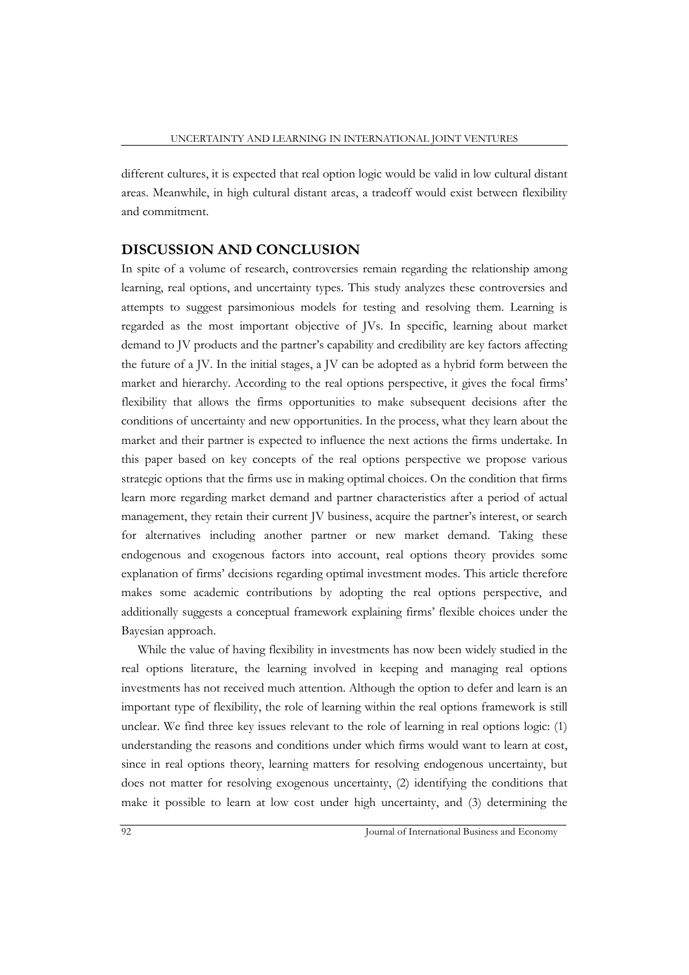different cultures, it is expected that real option logic would be valid in low cultural distant areas. Meanwhile, in high cultural distant areas, a tradeoff would exist between flexibility and commitment.

#### **DISCUSSION AND CONCLUSION**

In spite of a volume of research, controversies remain regarding the relationship among learning, real options, and uncertainty types. This study analyzes these controversies and attempts to suggest parsimonious models for testing and resolving them. Learning is regarded as the most important objective of JVs. In specific, learning about market demand to JV products and the partner's capability and credibility are key factors affecting the future of a JV. In the initial stages, a JV can be adopted as a hybrid form between the market and hierarchy. According to the real options perspective, it gives the focal firms' flexibility that allows the firms opportunities to make subsequent decisions after the conditions of uncertainty and new opportunities. In the process, what they learn about the market and their partner is expected to influence the next actions the firms undertake. In this paper based on key concepts of the real options perspective we propose various strategic options that the firms use in making optimal choices. On the condition that firms learn more regarding market demand and partner characteristics after a period of actual management, they retain their current JV business, acquire the partner's interest, or search for alternatives including another partner or new market demand. Taking these endogenous and exogenous factors into account, real options theory provides some explanation of firms' decisions regarding optimal investment modes. This article therefore makes some academic contributions by adopting the real options perspective, and additionally suggests a conceptual framework explaining firms' flexible choices under the Bayesian approach.

While the value of having flexibility in investments has now been widely studied in the real options literature, the learning involved in keeping and managing real options investments has not received much attention. Although the option to defer and learn is an important type of flexibility, the role of learning within the real options framework is still unclear. We find three key issues relevant to the role of learning in real options logic: (1) understanding the reasons and conditions under which firms would want to learn at cost, since in real options theory, learning matters for resolving endogenous uncertainty, but does not matter for resolving exogenous uncertainty, (2) identifying the conditions that make it possible to learn at low cost under high uncertainty, and (3) determining the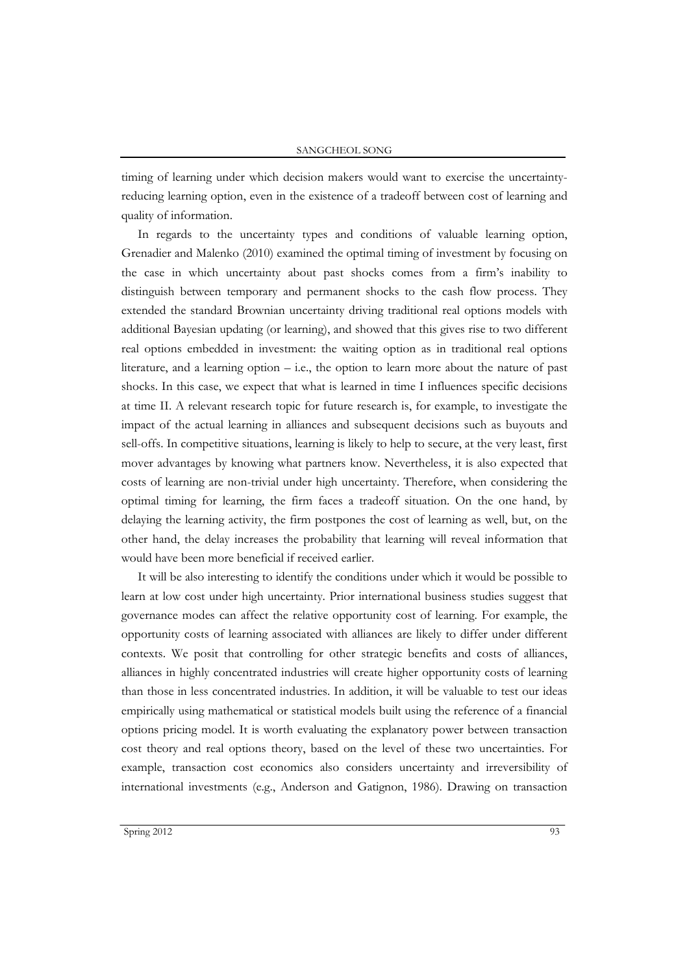timing of learning under which decision makers would want to exercise the uncertaintyreducing learning option, even in the existence of a tradeoff between cost of learning and quality of information.

In regards to the uncertainty types and conditions of valuable learning option, Grenadier and Malenko (2010) examined the optimal timing of investment by focusing on the case in which uncertainty about past shocks comes from a firm's inability to distinguish between temporary and permanent shocks to the cash flow process. They extended the standard Brownian uncertainty driving traditional real options models with additional Bayesian updating (or learning), and showed that this gives rise to two different real options embedded in investment: the waiting option as in traditional real options literature, and a learning option  $-$  i.e., the option to learn more about the nature of past shocks. In this case, we expect that what is learned in time I influences specific decisions at time II. A relevant research topic for future research is, for example, to investigate the impact of the actual learning in alliances and subsequent decisions such as buyouts and sell-offs. In competitive situations, learning is likely to help to secure, at the very least, first mover advantages by knowing what partners know. Nevertheless, it is also expected that costs of learning are non-trivial under high uncertainty. Therefore, when considering the optimal timing for learning, the firm faces a tradeoff situation. On the one hand, by delaying the learning activity, the firm postpones the cost of learning as well, but, on the other hand, the delay increases the probability that learning will reveal information that would have been more beneficial if received earlier.

It will be also interesting to identify the conditions under which it would be possible to learn at low cost under high uncertainty. Prior international business studies suggest that governance modes can affect the relative opportunity cost of learning. For example, the opportunity costs of learning associated with alliances are likely to differ under different contexts. We posit that controlling for other strategic benefits and costs of alliances, alliances in highly concentrated industries will create higher opportunity costs of learning than those in less concentrated industries. In addition, it will be valuable to test our ideas empirically using mathematical or statistical models built using the reference of a financial options pricing model. It is worth evaluating the explanatory power between transaction cost theory and real options theory, based on the level of these two uncertainties. For example, transaction cost economics also considers uncertainty and irreversibility of international investments (e.g., Anderson and Gatignon, 1986). Drawing on transaction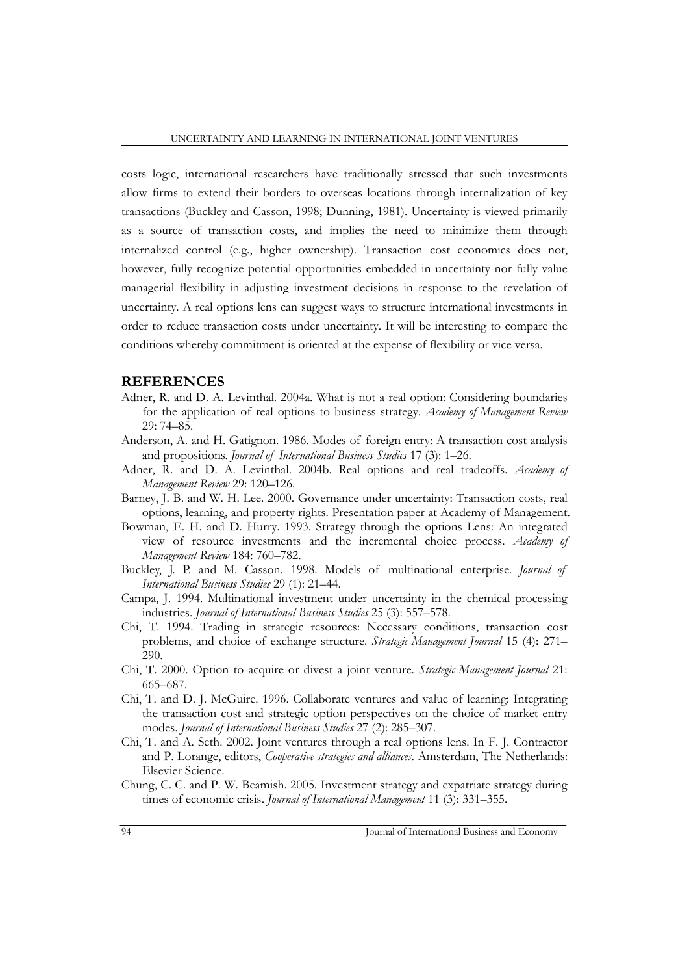costs logic, international researchers have traditionally stressed that such investments allow firms to extend their borders to overseas locations through internalization of key transactions (Buckley and Casson, 1998; Dunning, 1981). Uncertainty is viewed primarily as a source of transaction costs, and implies the need to minimize them through internalized control (e.g., higher ownership). Transaction cost economics does not, however, fully recognize potential opportunities embedded in uncertainty nor fully value managerial flexibility in adjusting investment decisions in response to the revelation of uncertainty. A real options lens can suggest ways to structure international investments in order to reduce transaction costs under uncertainty. It will be interesting to compare the conditions whereby commitment is oriented at the expense of flexibility or vice versa.

#### **REFERENCES**

- Adner, R. and D. A. Levinthal. 2004a. What is not a real option: Considering boundaries for the application of real options to business strategy. *Academy of Management Review* 29: 74–85.
- Anderson, A. and H. Gatignon. 1986. Modes of foreign entry: A transaction cost analysis and propositions. *Journal of International Business Studies* 17 (3): 1–26.
- Adner, R. and D. A. Levinthal. 2004b. Real options and real tradeoffs. *Academy of Management Review* 29: 120–126.
- Barney, J. B. and W. H. Lee. 2000. Governance under uncertainty: Transaction costs, real options, learning, and property rights. Presentation paper at Academy of Management.
- Bowman, E. H. and D. Hurry. 1993. Strategy through the options Lens: An integrated view of resource investments and the incremental choice process. *Academy of Management Review* 184: 760–782.
- Buckley, J. P. and M. Casson. 1998. Models of multinational enterprise. *Journal of International Business Studies* 29 (1): 21–44.
- Campa, J. 1994. Multinational investment under uncertainty in the chemical processing industries. *Journal of International Business Studies* 25 (3): 557–578.
- Chi, T. 1994. Trading in strategic resources: Necessary conditions, transaction cost problems, and choice of exchange structure. *Strategic Management Journal* 15 (4): 271– 290.
- Chi, T. 2000. Option to acquire or divest a joint venture. *Strategic Management Journal* 21: 665–687.
- Chi, T. and D. J. McGuire. 1996. Collaborate ventures and value of learning: Integrating the transaction cost and strategic option perspectives on the choice of market entry modes. *Journal of International Business Studies* 27 (2): 285–307.
- Chi, T. and A. Seth. 2002. Joint ventures through a real options lens. In F. J. Contractor and P. Lorange, editors, *Cooperative strategies and alliances*. Amsterdam, The Netherlands: Elsevier Science.
- Chung, C. C. and P. W. Beamish. 2005. Investment strategy and expatriate strategy during times of economic crisis. *Journal of International Management* 11 (3): 331–355.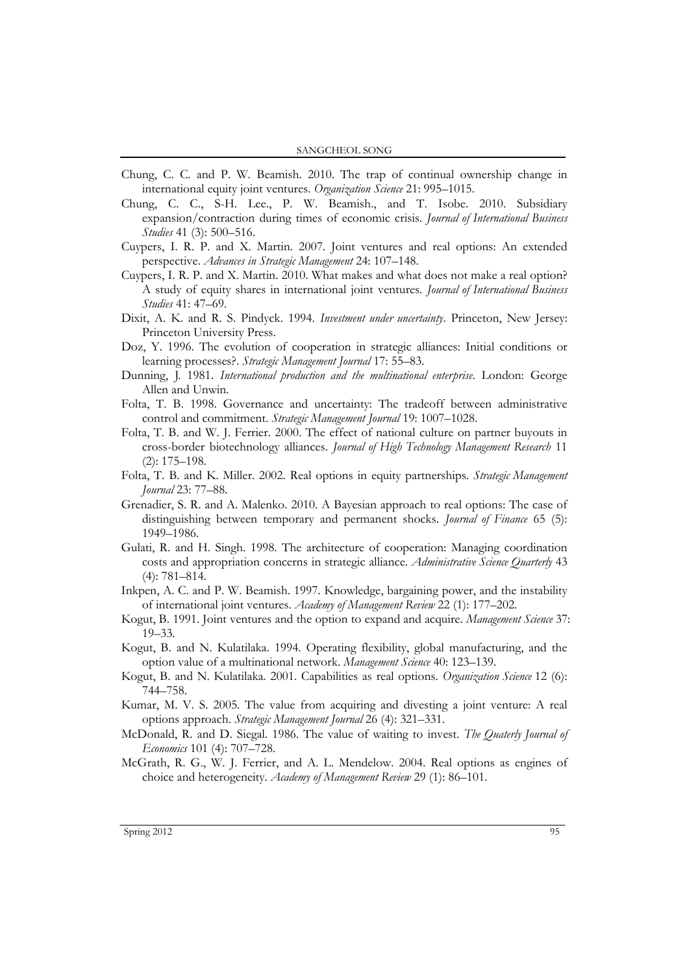- Chung, C. C. and P. W. Beamish. 2010. The trap of continual ownership change in international equity joint ventures. *Organization Science* 21: 995–1015.
- Chung, C. C., S-H. Lee., P. W. Beamish., and T. Isobe. 2010. Subsidiary expansion/contraction during times of economic crisis. *Journal of International Business Studies* 41 (3): 500–516.
- Cuypers, I. R. P. and X. Martin. 2007. Joint ventures and real options: An extended perspective. *Advances in Strategic Management* 24: 107–148.
- Cuypers, I. R. P. and X. Martin. 2010. What makes and what does not make a real option? A study of equity shares in international joint ventures. *Journal of International Business Studies* 41: 47–69.
- Dixit, A. K. and R. S. Pindyck. 1994. *Investment under uncertainty*. Princeton, New Jersey: Princeton University Press.
- Doz, Y. 1996. The evolution of cooperation in strategic alliances: Initial conditions or learning processes?. *Strategic Management Journal* 17: 55–83.
- Dunning, J. 1981. *International production and the multinational enterprise*. London: George Allen and Unwin.
- Folta, T. B. 1998. Governance and uncertainty: The tradeoff between administrative control and commitment. *Strategic Management Journal* 19: 1007–1028.
- Folta, T. B. and W. J. Ferrier. 2000. The effect of national culture on partner buyouts in cross-border biotechnology alliances. *Journal of High Technology Management Research* 11 (2): 175–198.
- Folta, T. B. and K. Miller. 2002. Real options in equity partnerships. *Strategic Management Journal* 23: 77–88.
- Grenadier, S. R. and A. Malenko. 2010. A Bayesian approach to real options: The case of distinguishing between temporary and permanent shocks. *Journal of Finance* 65 (5): 1949–1986.
- Gulati, R. and H. Singh. 1998. The architecture of cooperation: Managing coordination costs and appropriation concerns in strategic alliance. *Administrative Science Quarterly* 43 (4): 781–814.
- Inkpen, A. C. and P. W. Beamish. 1997. Knowledge, bargaining power, and the instability of international joint ventures. *Academy of Management Review* 22 (1): 177–202.
- Kogut, B. 1991. Joint ventures and the option to expand and acquire. *Management Science* 37: 19–33.
- Kogut, B. and N. Kulatilaka. 1994. Operating flexibility, global manufacturing, and the option value of a multinational network. *Management Science* 40: 123–139.
- Kogut, B. and N. Kulatilaka. 2001. Capabilities as real options. *Organization Science* 12 (6): 744–758.
- Kumar, M. V. S. 2005. The value from acquiring and divesting a joint venture: A real options approach. *Strategic Management Journal* 26 (4): 321–331.
- McDonald, R. and D. Siegal. 1986. The value of waiting to invest. *The Quaterly Journal of Economics* 101 (4): 707–728.
- McGrath, R. G., W. J. Ferrier, and A. L. Mendelow. 2004. Real options as engines of choice and heterogeneity. *Academy of Management Review* 29 (1): 86–101.